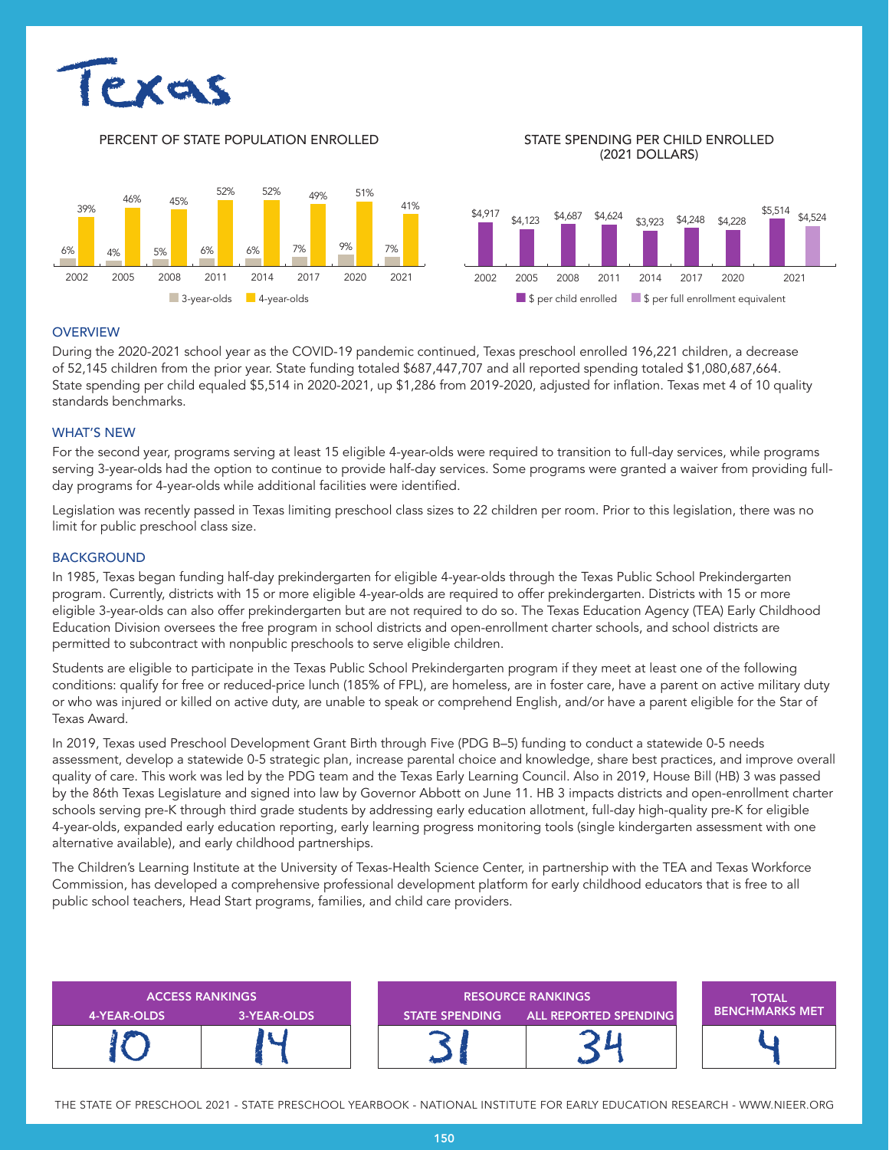

### PERCENT OF STATE POPULATION ENROLLED STATE SPENDING PER CHILD ENROLLED

# (2021 DOLLARS)



#### **OVERVIEW**

During the 2020-2021 school year as the COVID-19 pandemic continued, Texas preschool enrolled 196,221 children, a decrease of 52,145 children from the prior year. State funding totaled \$687,447,707 and all reported spending totaled \$1,080,687,664. State spending per child equaled \$5,514 in 2020-2021, up \$1,286 from 2019-2020, adjusted for inflation. Texas met 4 of 10 quality standards benchmarks.

#### WHAT'S NEW

For the second year, programs serving at least 15 eligible 4-year-olds were required to transition to full-day services, while programs serving 3-year-olds had the option to continue to provide half-day services. Some programs were granted a waiver from providing fullday programs for 4-year-olds while additional facilities were identified.

Legislation was recently passed in Texas limiting preschool class sizes to 22 children per room. Prior to this legislation, there was no limit for public preschool class size.

### **BACKGROUND**

In 1985, Texas began funding half-day prekindergarten for eligible 4-year-olds through the Texas Public School Prekindergarten program. Currently, districts with 15 or more eligible 4-year-olds are required to offer prekindergarten. Districts with 15 or more eligible 3-year-olds can also offer prekindergarten but are not required to do so. The Texas Education Agency (TEA) Early Childhood Education Division oversees the free program in school districts and open-enrollment charter schools, and school districts are permitted to subcontract with nonpublic preschools to serve eligible children.

Students are eligible to participate in the Texas Public School Prekindergarten program if they meet at least one of the following conditions: qualify for free or reduced-price lunch (185% of FPL), are homeless, are in foster care, have a parent on active military duty or who was injured or killed on active duty, are unable to speak or comprehend English, and/or have a parent eligible for the Star of Texas Award.

In 2019, Texas used Preschool Development Grant Birth through Five (PDG B–5) funding to conduct a statewide 0-5 needs assessment, develop a statewide 0-5 strategic plan, increase parental choice and knowledge, share best practices, and improve overall quality of care. This work was led by the PDG team and the Texas Early Learning Council. Also in 2019, House Bill (HB) 3 was passed by the 86th Texas Legislature and signed into law by Governor Abbott on June 11. HB 3 impacts districts and open-enrollment charter schools serving pre-K through third grade students by addressing early education allotment, full-day high-quality pre-K for eligible 4-year-olds, expanded early education reporting, early learning progress monitoring tools (single kindergarten assessment with one alternative available), and early childhood partnerships.

The Children's Learning Institute at the University of Texas-Health Science Center, in partnership with the TEA and Texas Workforce Commission, has developed a comprehensive professional development platform for early childhood educators that is free to all public school teachers, Head Start programs, families, and child care providers.



THE STATE OF PRESCHOOL 2021 - STATE PRESCHOOL YEARBOOK - NATIONAL INSTITUTE FOR EARLY EDUCATION RESEARCH - WWW.NIEER.ORG